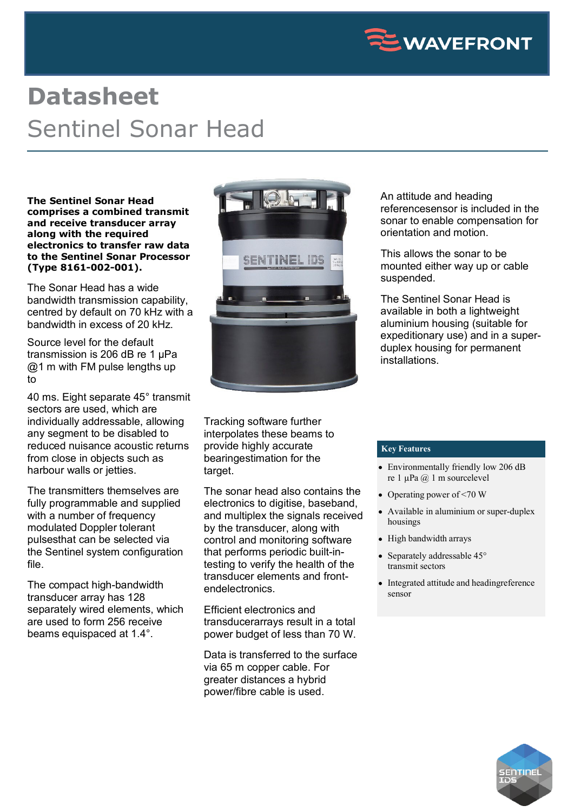

## **Datasheet** Sentinel Sonar Head

**The Sentinel Sonar Head comprises a combined transmit and receive transducer array along with the required electronics to transfer raw data to the Sentinel Sonar Processor (Type 8161-002-001).**

The Sonar Head has a wide bandwidth transmission capability, centred by default on 70 kHz with a bandwidth in excess of 20 kHz.

Source level for the default transmission is 206 dB re 1 µPa  $@1$  m with FM pulse lengths up to

40 ms. Eight separate 45° transmit sectors are used, which are individually addressable, allowing any segment to be disabled to reduced nuisance acoustic returns from close in objects such as harbour walls or jetties.

The transmitters themselves are fully programmable and supplied with a number of frequency modulated Doppler tolerant pulsesthat can be selected via the Sentinel system configuration file.

The compact high-bandwidth transducer array has 128 separately wired elements, which are used to form 256 receive beams equispaced at 1.4°.



Tracking software further interpolates these beams to provide highly accurate bearingestimation for the target.

The sonar head also contains the electronics to digitise, baseband, and multiplex the signals received by the transducer, along with control and monitoring software that performs periodic built-intesting to verify the health of the transducer elements and frontendelectronics

Efficient electronics and transducerarrays result in a total power budget of less than 70 W.

Data is transferred to the surface via 65 m copper cable. For greater distances a hybrid power/fibre cable is used.

An attitude and heading referencesensor is included in the sonar to enable compensation for orientation and motion.

This allows the sonar to be mounted either way up or cable suspended.

The Sentinel Sonar Head is available in both a lightweight aluminium housing (suitable for expeditionary use) and in a superduplex housing for permanent installations.

## **Key Features**

- Environmentally friendly low 206 dB re 1 µPa @ 1 m sourcelevel
- Operating power of  $\leq 70$  W
- Available in aluminium or super-duplex housings
- High bandwidth arrays
- Separately addressable 45° transmit sectors
- Integrated attitude and heading reference sensor